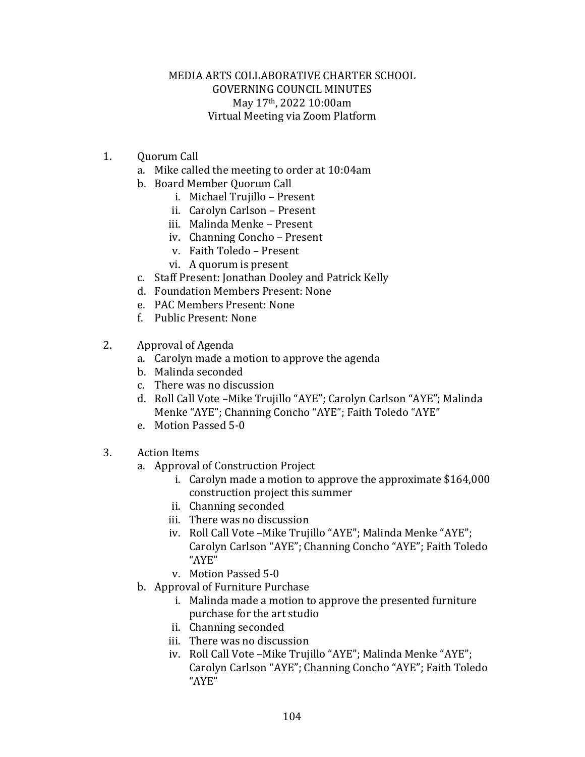## MEDIA ARTS COLLABORATIVE CHARTER SCHOOL GOVERNING COUNCIL MINUTES May 17th, 2022 10:00am Virtual Meeting via Zoom Platform

- 1. Quorum Call
	- a. Mike called the meeting to order at 10:04am
	- b. Board Member Quorum Call
		- i. Michael Trujillo Present
		- ii. Carolyn Carlson Present
		- iii. Malinda Menke Present
		- iv. Channing Concho Present
		- v. Faith Toledo Present
		- vi. A quorum is present
	- c. Staff Present: Jonathan Dooley and Patrick Kelly
	- d. Foundation Members Present: None
	- e. PAC Members Present: None
	- f. Public Present: None
- 2. Approval of Agenda
	- a. Carolyn made a motion to approve the agenda
	- b. Malinda seconded
	- c. There was no discussion
	- d. Roll Call Vote –Mike Trujillo "AYE"; Carolyn Carlson "AYE"; Malinda Menke "AYE"; Channing Concho "AYE"; Faith Toledo "AYE"
	- e. Motion Passed 5-0
- 3. Action Items
	- a. Approval of Construction Project
		- i. Carolyn made a motion to approve the approximate \$164,000 construction project this summer
		- ii. Channing seconded
		- iii. There was no discussion
		- iv. Roll Call Vote –Mike Trujillo "AYE"; Malinda Menke "AYE"; Carolyn Carlson "AYE"; Channing Concho "AYE"; Faith Toledo "AYE"
		- v. Motion Passed 5-0
	- b. Approval of Furniture Purchase
		- i. Malinda made a motion to approve the presented furniture purchase for the art studio
		- ii. Channing seconded
		- iii. There was no discussion
		- iv. Roll Call Vote –Mike Trujillo "AYE"; Malinda Menke "AYE"; Carolyn Carlson "AYE"; Channing Concho "AYE"; Faith Toledo "AYE"